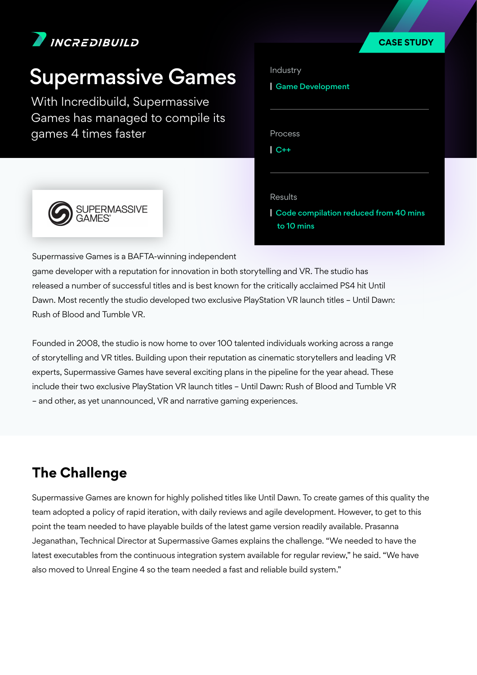

## Supermassive Games

*With Incredibuild, Supermassive Games has managed to compile its games 4 times faster*

| Industry                |  |
|-------------------------|--|
| <b>Game Development</b> |  |
|                         |  |
|                         |  |
| Process                 |  |
| I<br>$C++$              |  |
|                         |  |
|                         |  |
| <b>Results</b>          |  |

**CASE STUDY**



**|** Code compilation reduced from 40 mins to 10 mins

*Supermassive Games is a BAFTA-winning independent* 

*game developer with a reputation for innovation in both storytelling and VR. The studio has*  released a number of successful titles and is best known for the critically acclaimed PS4 hit Until *Dawn. Most recently the studio developed two exclusive PlayStation VR launch titles – Until Dawn: Rush of Blood and Tumble VR.*

*Founded in 2008, the studio is now home to over 100 talented individuals working across a range of storytelling and VR titles. Building upon their reputation as cinematic storytellers and leading VR experts, Supermassive Games have several exciting plans in the pipeline for the year ahead. These include their two exclusive PlayStation VR launch titles – Until Dawn: Rush of Blood and Tumble VR – and other, as yet unannounced, VR and narrative gaming experiences.*

## **The Challenge**

*Supermassive Games are known for highly polished titles like Until Dawn. To create games of this quality the team adopted a policy of rapid iteration, with daily reviews and agile development. However, to get to this point the team needed to have playable builds of the latest game version readily available. Prasanna Jeganathan, Technical Director at Supermassive Games explains the challenge. "We needed to have the latest executables from the continuous integration system available for regular review," he said. "We have also moved to Unreal Engine 4 so the team needed a fast and reliable build system."*